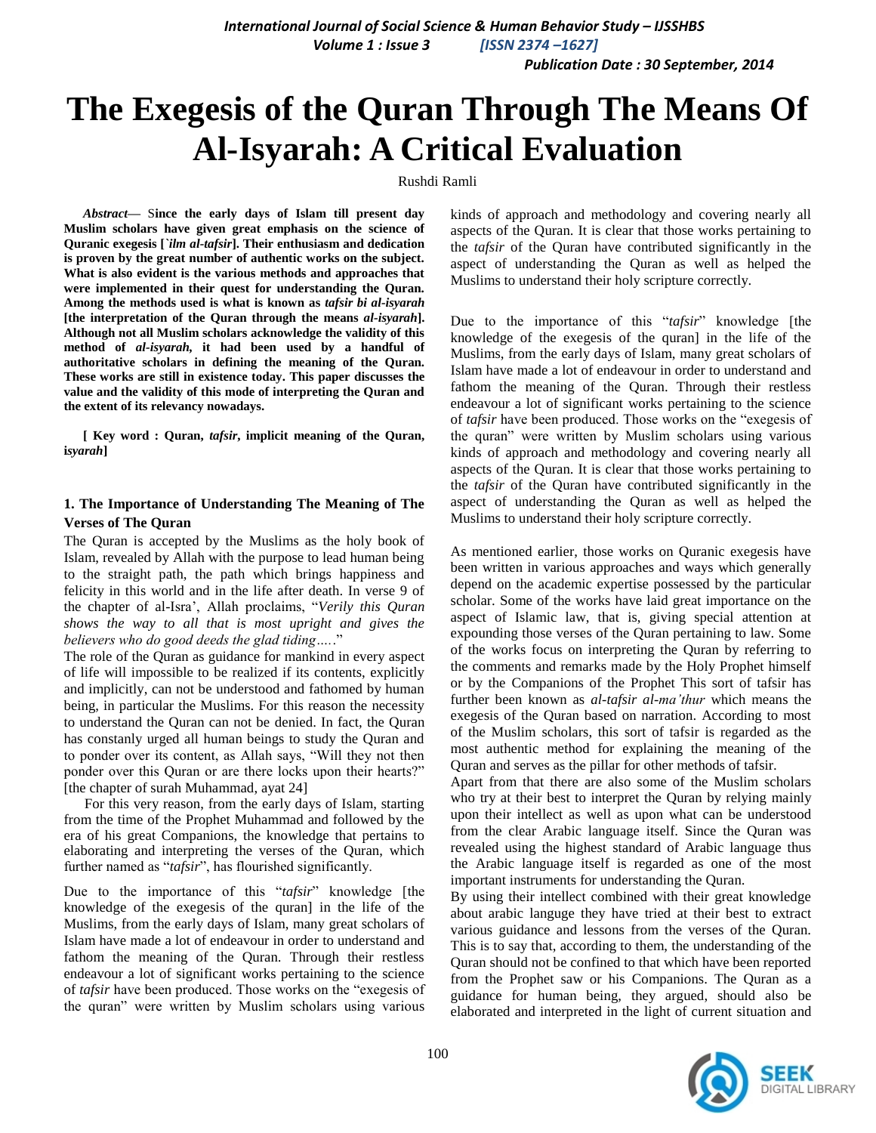*Publication Date : 30 September, 2014*

# **The Exegesis of the Quran Through The Means Of Al-Isyarah: A Critical Evaluation**

#### Rushdi Ramli

*Abstract***—** S**ince the early days of Islam till present day Muslim scholars have given great emphasis on the science of Quranic exegesis [***`ilm al-tafsir***]. Their enthusiasm and dedication is proven by the great number of authentic works on the subject. What is also evident is the various methods and approaches that were implemented in their quest for understanding the Quran. Among the methods used is what is known as** *tafsir bi al-isyarah* **[the interpretation of the Quran through the means** *al-isyarah***]. Although not all Muslim scholars acknowledge the validity of this method of** *al-isyarah,* **it had been used by a handful of authoritative scholars in defining the meaning of the Quran. These works are still in existence today. This paper discusses the value and the validity of this mode of interpreting the Quran and the extent of its relevancy nowadays.**

**[ Key word : Quran,** *tafsir***, implicit meaning of the Quran, i***syarah***]** 

# **1. The Importance of Understanding The Meaning of The Verses of The Quran**

The Quran is accepted by the Muslims as the holy book of Islam, revealed by Allah with the purpose to lead human being to the straight path, the path which brings happiness and felicity in this world and in the life after death. In verse 9 of the chapter of al-Isra", Allah proclaims, "*Verily this Quran shows the way to all that is most upright and gives the believers who do good deeds the glad tiding….*."

The role of the Quran as guidance for mankind in every aspect of life will impossible to be realized if its contents, explicitly and implicitly, can not be understood and fathomed by human being, in particular the Muslims. For this reason the necessity to understand the Quran can not be denied. In fact, the Quran has constanly urged all human beings to study the Quran and to ponder over its content, as Allah says, "Will they not then ponder over this Quran or are there locks upon their hearts?" [the chapter of surah Muhammad, ayat 24]

For this very reason, from the early days of Islam, starting from the time of the Prophet Muhammad and followed by the era of his great Companions, the knowledge that pertains to elaborating and interpreting the verses of the Quran, which further named as "*tafsir*", has flourished significantly.

Due to the importance of this "tafsir" knowledge [the knowledge of the exegesis of the quran] in the life of the Muslims, from the early days of Islam, many great scholars of Islam have made a lot of endeavour in order to understand and fathom the meaning of the Quran. Through their restless endeavour a lot of significant works pertaining to the science of *tafsir* have been produced. Those works on the "exegesis of the quran" were written by Muslim scholars using various

kinds of approach and methodology and covering nearly all aspects of the Quran. It is clear that those works pertaining to the *tafsir* of the Quran have contributed significantly in the aspect of understanding the Quran as well as helped the Muslims to understand their holy scripture correctly.

Due to the importance of this "*tafsir*" knowledge [the knowledge of the exegesis of the quran] in the life of the Muslims, from the early days of Islam, many great scholars of Islam have made a lot of endeavour in order to understand and fathom the meaning of the Quran. Through their restless endeavour a lot of significant works pertaining to the science of *tafsir* have been produced. Those works on the "exegesis of the quran" were written by Muslim scholars using various kinds of approach and methodology and covering nearly all aspects of the Quran. It is clear that those works pertaining to the *tafsir* of the Quran have contributed significantly in the aspect of understanding the Quran as well as helped the Muslims to understand their holy scripture correctly.

As mentioned earlier, those works on Quranic exegesis have been written in various approaches and ways which generally depend on the academic expertise possessed by the particular scholar. Some of the works have laid great importance on the aspect of Islamic law, that is, giving special attention at expounding those verses of the Quran pertaining to law. Some of the works focus on interpreting the Quran by referring to the comments and remarks made by the Holy Prophet himself or by the Companions of the Prophet This sort of tafsir has further been known as *al-tafsir al-ma'thur* which means the exegesis of the Quran based on narration. According to most of the Muslim scholars, this sort of tafsir is regarded as the most authentic method for explaining the meaning of the Quran and serves as the pillar for other methods of tafsir.

Apart from that there are also some of the Muslim scholars who try at their best to interpret the Quran by relying mainly upon their intellect as well as upon what can be understood from the clear Arabic language itself. Since the Quran was revealed using the highest standard of Arabic language thus the Arabic language itself is regarded as one of the most important instruments for understanding the Quran.

By using their intellect combined with their great knowledge about arabic languge they have tried at their best to extract various guidance and lessons from the verses of the Quran. This is to say that, according to them, the understanding of the Quran should not be confined to that which have been reported from the Prophet saw or his Companions. The Quran as a guidance for human being, they argued, should also be elaborated and interpreted in the light of current situation and

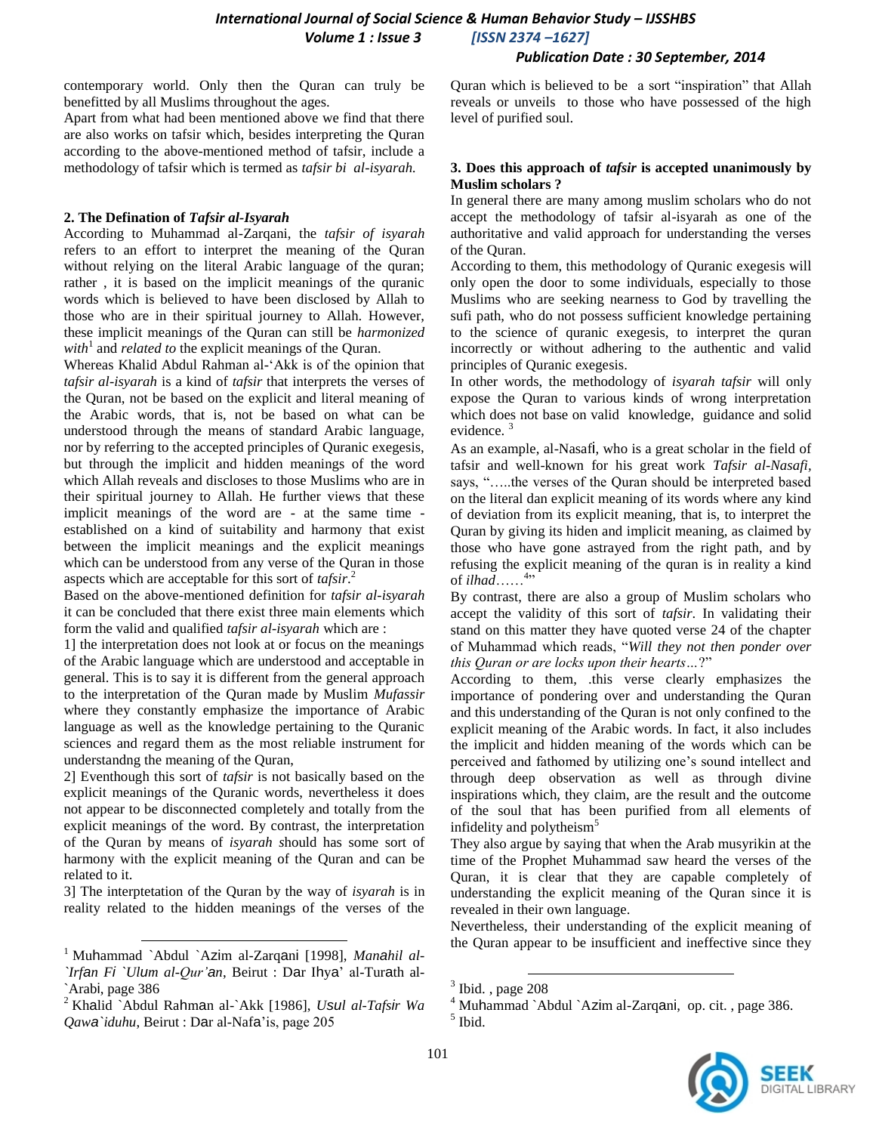#### *Publication Date : 30 September, 2014*

contemporary world. Only then the Quran can truly be benefitted by all Muslims throughout the ages.

Apart from what had been mentioned above we find that there are also works on tafsir which, besides interpreting the Quran according to the above-mentioned method of tafsir, include a methodology of tafsir which is termed as *tafsir bi al-isyarah.*

#### **2. The Defination of** *Tafsir al-Isyarah*

According to Muhammad al-Zarqani, the *tafsir of isyarah* refers to an effort to interpret the meaning of the Quran without relying on the literal Arabic language of the quran; rather , it is based on the implicit meanings of the quranic words which is believed to have been disclosed by Allah to those who are in their spiritual journey to Allah. However, these implicit meanings of the Quran can still be *harmonized*   $with<sup>1</sup>$  and *related to* the explicit meanings of the Quran.

Whereas Khalid Abdul Rahman al-"Akk is of the opinion that *tafsir al-isyarah* is a kind of *tafsir* that interprets the verses of the Quran, not be based on the explicit and literal meaning of the Arabic words, that is, not be based on what can be understood through the means of standard Arabic language, nor by referring to the accepted principles of Quranic exegesis, but through the implicit and hidden meanings of the word which Allah reveals and discloses to those Muslims who are in their spiritual journey to Allah. He further views that these implicit meanings of the word are - at the same time established on a kind of suitability and harmony that exist between the implicit meanings and the explicit meanings which can be understood from any verse of the Quran in those aspects which are acceptable for this sort of *tafsir*. 2

Based on the above-mentioned definition for *tafsir al-isyarah* it can be concluded that there exist three main elements which form the valid and qualified *tafsir al-isyarah* which are :

1] the interpretation does not look at or focus on the meanings of the Arabic language which are understood and acceptable in general. This is to say it is different from the general approach to the interpretation of the Quran made by Muslim *Mufassir* where they constantly emphasize the importance of Arabic language as well as the knowledge pertaining to the Quranic sciences and regard them as the most reliable instrument for understandng the meaning of the Quran,

2] Eventhough this sort of *tafsir* is not basically based on the explicit meanings of the Quranic words, nevertheless it does not appear to be disconnected completely and totally from the explicit meanings of the word. By contrast, the interpretation of the Quran by means of *isyarah s*hould has some sort of harmony with the explicit meaning of the Quran and can be related to it.

3] The interptetation of the Quran by the way of *isyarah* is in reality related to the hidden meanings of the verses of the

l

Quran which is believed to be a sort "inspiration" that Allah reveals or unveils to those who have possessed of the high level of purified soul.

#### **3. Does this approach of** *tafsir* **is accepted unanimously by Muslim scholars ?**

In general there are many among muslim scholars who do not accept the methodology of tafsir al-isyarah as one of the authoritative and valid approach for understanding the verses of the Quran.

According to them, this methodology of Quranic exegesis will only open the door to some individuals, especially to those Muslims who are seeking nearness to God by travelling the sufi path, who do not possess sufficient knowledge pertaining to the science of quranic exegesis, to interpret the quran incorrectly or without adhering to the authentic and valid principles of Quranic exegesis.

In other words, the methodology of *isyarah tafsir* will only expose the Quran to various kinds of wrong interpretation which does not base on valid knowledge, guidance and solid evidence.<sup>3</sup>

As an example, al-Nasafi, who is a great scholar in the field of tafsir and well-known for his great work *Tafsir al-Nasafi,*  says, "…..the verses of the Quran should be interpreted based on the literal dan explicit meaning of its words where any kind of deviation from its explicit meaning, that is, to interpret the Quran by giving its hiden and implicit meaning, as claimed by those who have gone astrayed from the right path, and by refusing the explicit meaning of the quran is in reality a kind of *ilhad*……<sup>4</sup> "

By contrast, there are also a group of Muslim scholars who accept the validity of this sort of *tafsir*. In validating their stand on this matter they have quoted verse 24 of the chapter of Muhammad which reads, "*Will they not then ponder over this Quran or are locks upon their hearts…*?"

According to them, .this verse clearly emphasizes the importance of pondering over and understanding the Quran and this understanding of the Quran is not only confined to the explicit meaning of the Arabic words. In fact, it also includes the implicit and hidden meaning of the words which can be perceived and fathomed by utilizing one"s sound intellect and through deep observation as well as through divine inspirations which, they claim, are the result and the outcome of the soul that has been purified from all elements of infidelity and polytheism<sup>5</sup>

They also argue by saying that when the Arab musyrikin at the time of the Prophet Muhammad saw heard the verses of the Quran, it is clear that they are capable completely of understanding the explicit meaning of the Quran since it is revealed in their own language.

Nevertheless, their understanding of the explicit meaning of the Quran appear to be insufficient and ineffective since they

l

<sup>4</sup> Muhammad `Abdul `Azim al-Zarqani, op. cit. , page 386. 5 Ibid.



<sup>1</sup> Muhammad `Abdul `Azim al-Zarqani [1998], *Manahil al- `Irfan Fi `Ulum al-Qur'an*, Beirut : Dar Ihya" al-Turath al- `Arabi, page 386

<sup>2</sup> Khalid `Abdul Rahman al-`Akk [1986], *Usul al-Tafsir Wa Qawa`iduhu*, Beirut : Dar al-Nafa"is, page 205

 $3$  Ibid., page 208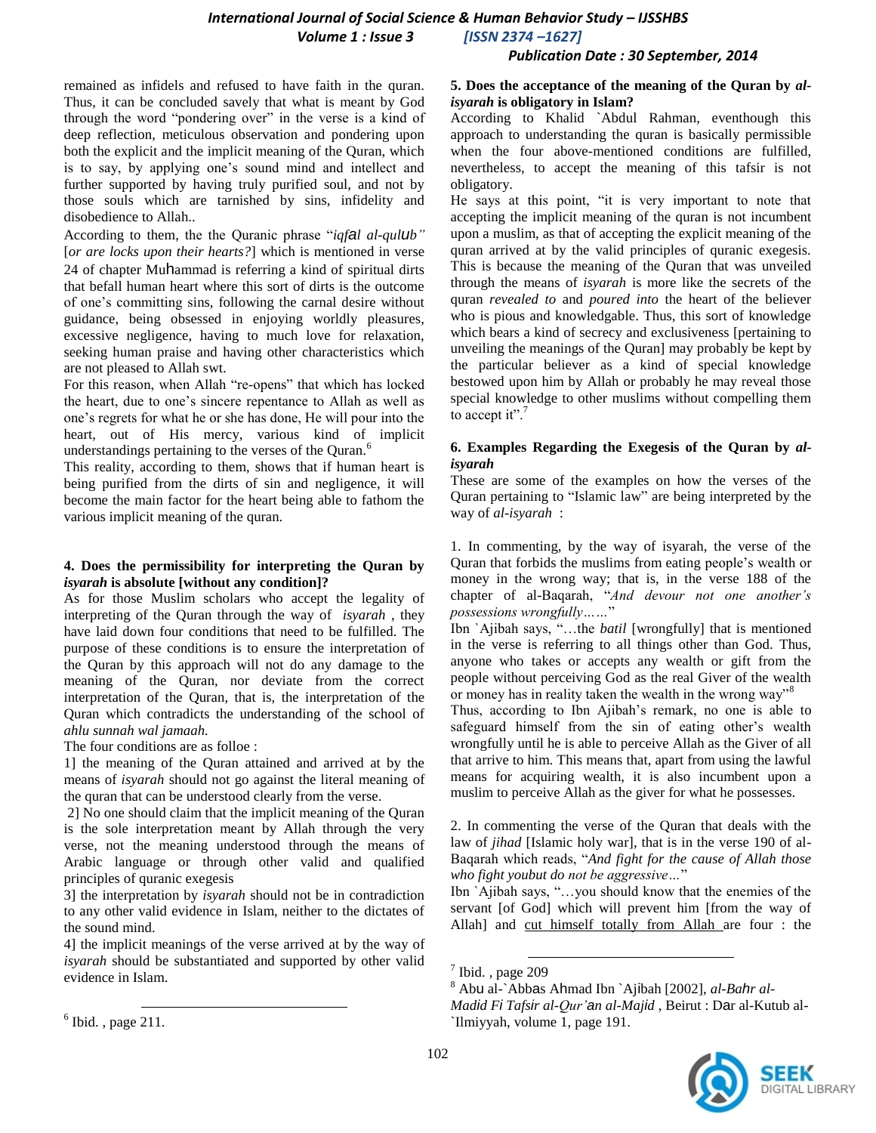# *International Journal of Social Science & Human Behavior Study – IJSSHBS Volume 1 : Issue 3 [ISSN 2374 –1627]*

#### *Publication Date : 30 September, 2014*

remained as infidels and refused to have faith in the quran. Thus, it can be concluded savely that what is meant by God through the word "pondering over" in the verse is a kind of deep reflection, meticulous observation and pondering upon both the explicit and the implicit meaning of the Quran, which is to say, by applying one"s sound mind and intellect and further supported by having truly purified soul, and not by those souls which are tarnished by sins, infidelity and disobedience to Allah..

According to them, the the Quranic phrase "*iqfal al-qulub"*  [*or are locks upon their hearts?*] which is mentioned in verse 24 of chapter Muhammad is referring a kind of spiritual dirts that befall human heart where this sort of dirts is the outcome of one"s committing sins, following the carnal desire without guidance, being obsessed in enjoying worldly pleasures, excessive negligence, having to much love for relaxation, seeking human praise and having other characteristics which are not pleased to Allah swt.

For this reason, when Allah "re-opens" that which has locked the heart, due to one"s sincere repentance to Allah as well as one"s regrets for what he or she has done, He will pour into the heart, out of His mercy, various kind of implicit understandings pertaining to the verses of the Quran.<sup>6</sup>

This reality, according to them, shows that if human heart is being purified from the dirts of sin and negligence, it will become the main factor for the heart being able to fathom the various implicit meaning of the quran.

#### **4. Does the permissibility for interpreting the Quran by**  *isyarah* **is absolute [without any condition]?**

As for those Muslim scholars who accept the legality of interpreting of the Quran through the way of *isyarah* , they have laid down four conditions that need to be fulfilled. The purpose of these conditions is to ensure the interpretation of the Quran by this approach will not do any damage to the meaning of the Quran, nor deviate from the correct interpretation of the Quran, that is, the interpretation of the Quran which contradicts the understanding of the school of *ahlu sunnah wal jamaah.*

The four conditions are as folloe :

1] the meaning of the Quran attained and arrived at by the means of *isyarah* should not go against the literal meaning of the quran that can be understood clearly from the verse.

2] No one should claim that the implicit meaning of the Quran is the sole interpretation meant by Allah through the very verse, not the meaning understood through the means of Arabic language or through other valid and qualified principles of quranic exegesis

3] the interpretation by *isyarah* should not be in contradiction to any other valid evidence in Islam, neither to the dictates of the sound mind.

4] the implicit meanings of the verse arrived at by the way of *isyarah* should be substantiated and supported by other valid evidence in Islam.

l

# **5. Does the acceptance of the meaning of the Quran by** *alisyarah* **is obligatory in Islam?**

According to Khalid `Abdul Rahman, eventhough this approach to understanding the quran is basically permissible when the four above-mentioned conditions are fulfilled, nevertheless, to accept the meaning of this tafsir is not obligatory.

He says at this point, "it is very important to note that accepting the implicit meaning of the quran is not incumbent upon a muslim, as that of accepting the explicit meaning of the quran arrived at by the valid principles of quranic exegesis. This is because the meaning of the Quran that was unveiled through the means of *isyarah* is more like the secrets of the quran *revealed to* and *poured into* the heart of the believer who is pious and knowledgable. Thus, this sort of knowledge which bears a kind of secrecy and exclusiveness [pertaining to unveiling the meanings of the Quran] may probably be kept by the particular believer as a kind of special knowledge bestowed upon him by Allah or probably he may reveal those special knowledge to other muslims without compelling them to accept it".<sup>7</sup>

#### **6. Examples Regarding the Exegesis of the Quran by** *alisyarah*

These are some of the examples on how the verses of the Quran pertaining to "Islamic law" are being interpreted by the way of *al-isyarah* :

1. In commenting, by the way of isyarah, the verse of the Quran that forbids the muslims from eating people"s wealth or money in the wrong way; that is, in the verse 188 of the chapter of al-Baqarah, "*And devour not one another's possessions wrongfully……*"

Ibn `Ajibah says, "…the *batil* [wrongfully] that is mentioned in the verse is referring to all things other than God. Thus, anyone who takes or accepts any wealth or gift from the people without perceiving God as the real Giver of the wealth or money has in reality taken the wealth in the wrong way"<sup>8</sup>

Thus, according to Ibn Ajibah"s remark, no one is able to safeguard himself from the sin of eating other's wealth wrongfully until he is able to perceive Allah as the Giver of all that arrive to him. This means that, apart from using the lawful means for acquiring wealth, it is also incumbent upon a muslim to perceive Allah as the giver for what he possesses.

2. In commenting the verse of the Quran that deals with the law of *jihad* [Islamic holy war], that is in the verse 190 of al-Baqarah which reads, "*And fight for the cause of Allah those who fight youbut do not be aggressive…*"

Ibn `Ajibah says, "…you should know that the enemies of the servant [of God] which will prevent him [from the way of Allah] and cut himself totally from Allah are four : the

l

<sup>8</sup> Abu al-`Abbas Ahmad Ibn `Ajibah [2002], *al-Bahr al-Madid Fi Tafsir al-Qur'an al-Majid* , Beirut : Dar al-Kutub al- `Ilmiyyah, volume 1, page 191.



 $<sup>6</sup>$  Ibid., page 211.</sup>

 $<sup>7</sup>$  Ibid., page 209</sup>